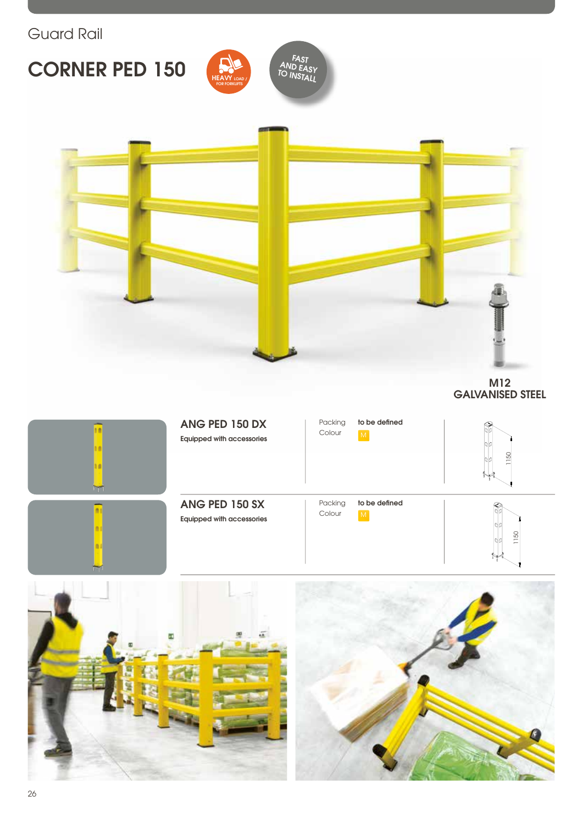# **CORNER PED 150**





M12 GALVANISED STEEL



#### ANG PED 150 DX Equipped with accessories







#### ANG PED 150 SX Equipped with accessories







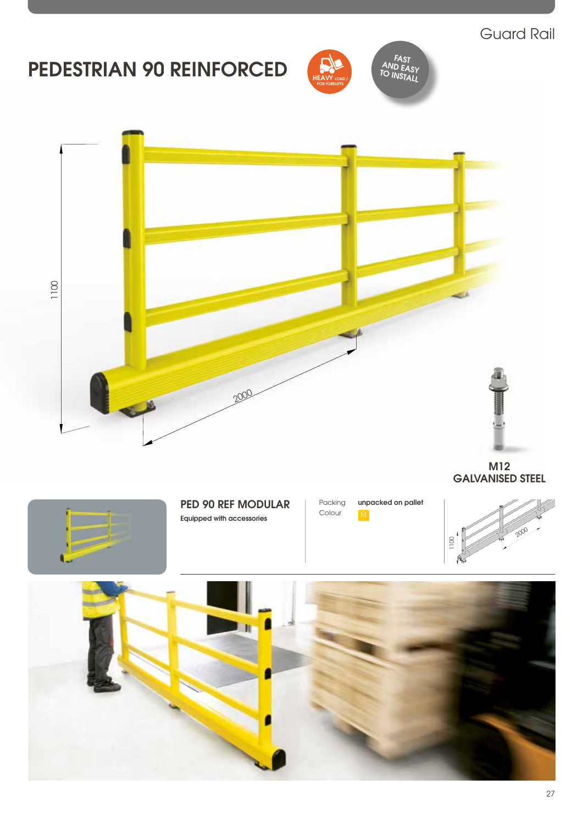## Guard Rail

# PEDESTRIAN 90 REINFORCED



FAST<br>AND EASY



M12 GALVANISED STEEL



### PED 90 REF MODULAR

Equipped with accessories





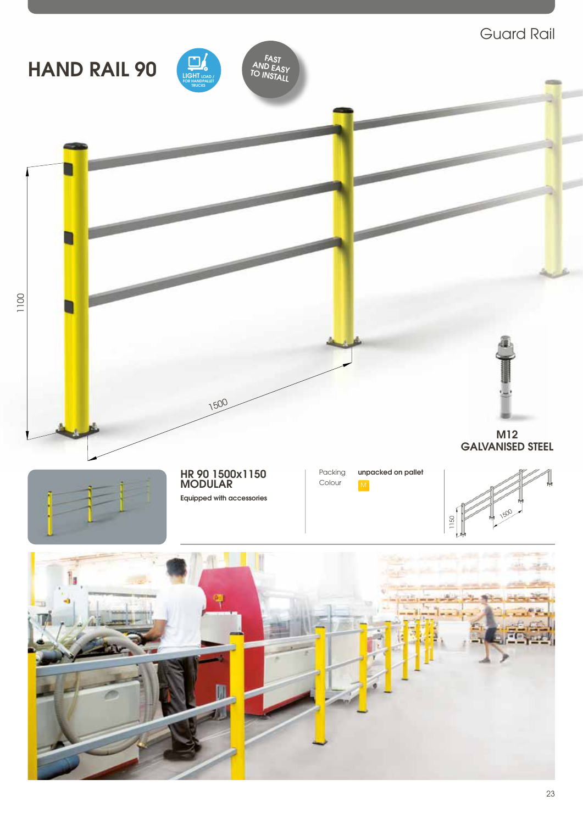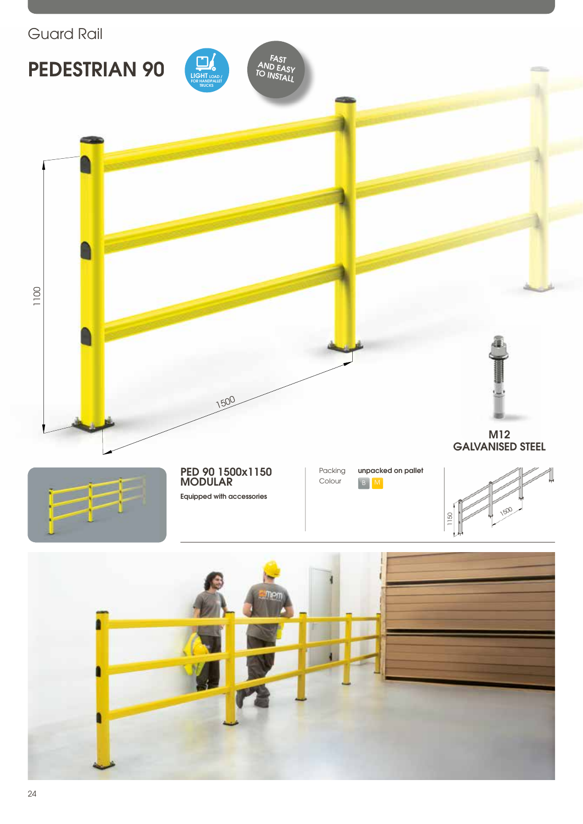